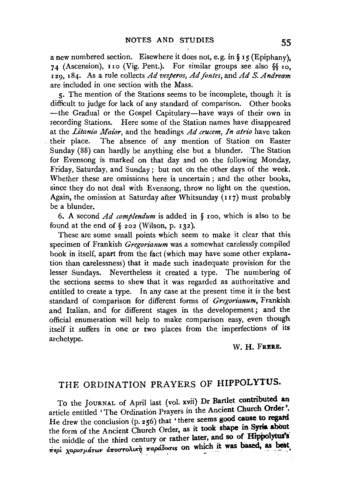a new numbered section. Elsewhere it does not, e. g. in§ I 5 (Epiphany), 74 (Ascension), 110 (Vig. Pent.). For similar groups see also  $\frac{5}{10}$ , r 29, 184. As a rule collects *Ad vesperos, Ad fontes,* and *AdS. Andream*  are included in one section with the Mass.

5· The mention of the Stations seems to be incomplete, though it is difficult to judge for lack of any standard of comparison. Other books -the Gradual or the Gospel Capitulary-have ways of their own in recording Stations. Here some of the Station names have disappeared at the *Litania Maior*, and the headings *Ad crucem. In atrio* have taken . their place. The absence of any mention of Station on Easter Sunday (88) can hardly be anything else but a blunder. The Station for Evensong is marked on that day and on the following Monday, Friday, Saturday, and Sunday; but not on the other days of the week. Whether these are omissions here is uncertain ; and the other books, since they do not deal with Evensong, throw no light on the question. Again, the omission at Saturday after Whitsunday (117) must probably be a blunder.

6. A second *Ad complendum* is added in § roo, which is also to be found at the end of  $\S$  202 (Wilson, p. 132).

These are some small points which seem to make it clear that this specimen of Frankish *Gregonanum* was a somewhat carelessly compiled book in itself, apart from the fact (which may have some other explanation than carelessness) that it made such inadequate provision for the lesser Sundays. Nevertheless it created a type. The numbering of the sections seems to shew that it was regarded as authoritative and entitled to create a type. In any case at the present time it is the best standard of comparison for different forms of *Gregorianum*, Frankish and Italian, and for different stages in the developement; and the official enumeration will help to make comparison easy, even though itself it suffers in one or two places from the imperfections of its archetype.

## W. H. FRERE.

## THE ORDINATION PRAYERS OF HIPPOLYTUS.

To the JOURNAL of April last (vol. xvii) Dr Bartlet contributed an article entitled 'The Ordination Prayers in the Ancient Church Order'. He drew the conclusion (p. 256) that 'there seems good cause to regard the form of the Ancient Church Order, as it took shape in Syria about the middle of the third century or rather later, and so of Hippolytus's  $\pi$ <sup>e</sup>ρί χαρισμάτων αποστολική παράδοσις on which it was based, as best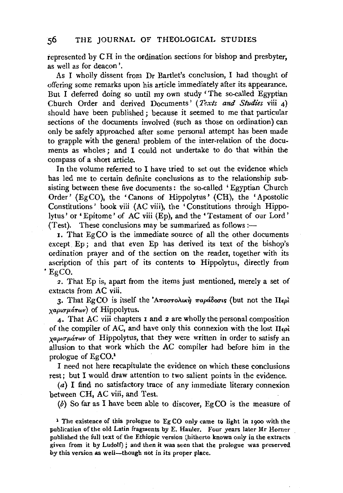represented by C H in the ordination sections for bishop and presbyter, as well as for deacon'.

As I wholly dissent from Dr Bartlet's conclusion, I had thought of offering some remarks upon his article immediately after its appearance. But I deferred doing so until my own study 'The so-called Egyptian Church Order and derived Documents' *(Texts and Studies* viii 4) should have been published; because it seemed to me that particular sections of the documents involved (such as those on ordination) can only be safely approached after some personal attempt has been made to grapple with the general problem of the inter-relation of the documents as wholes; and I could not undertake to do that within the compass of a short article.

In the volume referred to I have tried to set out the evidence which has led me to certain definite conclusions as to the relationship subsisting between these five documents: the so-called 'Egyptian Church Order' (EgCO), the 'Canons of Hippolytus' (CH), the 'Apostolic Constitutions' book viii (AC viii), the 'Constitutions through Hippolytus' or 'Epitome' of AC viii (Ep), and the 'Testament of our Lord' (Test). These conclusions may be summarized as follows: $-$ 

I. That EgCO is the immediate source of all the other documents except. Ep; and that even Ep has derived its text of the bishop's ordination prayer and of the section on the reader, together with its ascription of this part of its contents to Hippolytus, directly from 'EgCO.

2. That Ep is, apart from the items just mentioned, merely a set of extracts from AC viii.

3. That EgCO is itself the 'A $\pi$ o $\sigma$ To $\lambda$ ική  $\pi$ αράδοσις (but not the  $\Pi_{\epsilon}$ ρί *xαρισμάτων*) of Hippolytus.

4· That AC viii chapters I and 2 are wholly the personal composition of the compiler of AC, and have only this connexion with the lost  $\Pi_{\epsilon}$ . *xaρισμάτων* of Hippolytus, that they were written in order to satisfy an allusion to that work which the AC compiler had before him in the prologue of EgC0.<sup>1</sup>

I need not here recapitulate the evidence on which these conclusions rest; but I would draw attention to two salient points in the evidence.

(a) I find no satisfactory trace of any immediate literary connexion between CH, AC viii, and Test.

 $(b)$  So far as I have been able to discover, EgCO is the measure of

<sup>1</sup>The existence of this prologue to EgCO only came to light in 1900 with the publication of the old Latin fragments by E. Hauler. Four years later Mr Horner published the full text of the Ethiopic version (hitherto known only in the extracts given from it by Ludolf) ; and then it was seen that the prologue was preserved by this version as well-though not in its proper place.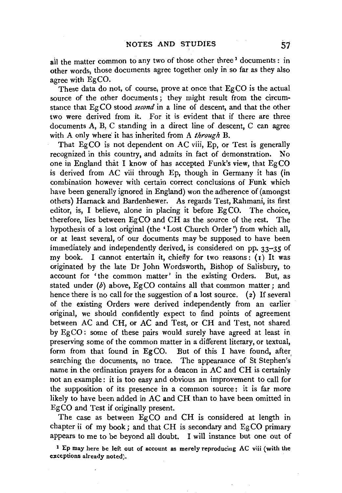all the matter common to any two of those other three<sup>1</sup> documents : in other words, those documents agree together only in so far as they also agree with EgCO.

These data do not, of course, prove at once that EgCO is the actual source of the other documents; they might result from the circumstance that EgCO stood *second* in a line of descent, and that the other two were derived from it. For it is evident that if there are three documents A, B, C standing in a direct line of descent, C can agree with A only where it has inherited from *A through* B.

That EgCO is not dependent on AC viii, Ep, or Test is generally recognized in this country, and admits in fact of demonstration. No one in England that I know of has accepted Funk's view, that  $EgCO$ is derived from AC viii through Ep, though in Germany it has (in combination however with certain correct conclusions of Funk which have been generally ignored in England) won the adherence of (amongst others) Harnack and Bardenhewer. As regards Test, Rahmani, its first editor, is, I believe, alone in placing it before Eg CO. The choice, therefore, lies between EgCO and CH as the source of the rest. The hypothesis of a lost original (the 'Lost Church Order') from which all, or at least several, of our documents may be supposed to have been immediately and independently derived, is considered on pp. 33-35 of my book. I cannot entertain it, chiefly for two reasons:  $(i)$  It was originated by the late Dr John Wordsworth, Bishop of Salisbury, to account for 'the common matter' in the existing Orders. But, as stated under  $(b)$  above, EgCO contains all that common matter; and hence there is no call for the suggestion of a lost source. (2} If several of the existing Orders were derived independently from an earlier original, we should confidently expect to find points of agreement between AC and CH, or AC and Test, or CH and Test, not shared by EgCO: some of these pairs would surely have agreed at least in preserving some of the common matter in a different literary, or textual, form from that found in EgCO. But of this I have found, after, searching the documents, no trace. The appearance of St Stephen's name in the ordination prayers for a deacon in AC and CH is certainly not an example: it is too easy and obvious an improvement to call for the supposition of its presence in a common source : it is far more likely to have been added in AC and CH than to have been omitted in EgCO and Test if originally present.

The case as between EgCO and CH is considered at length in chapter ii of my book; and that CH is secondary and EgCO primary appears to me to be beyond all doubt. I will instance but one out of

<sup>1</sup>Ep may here be left out of account as merely reproducing AC viii (with the exceptions already noted).